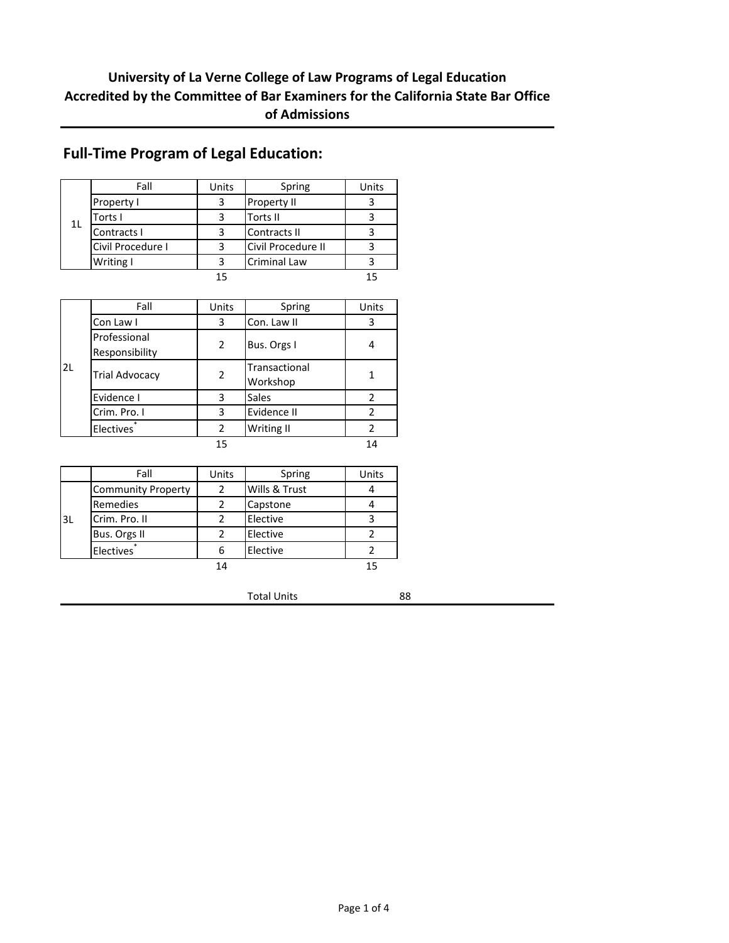### **University of La Verne College of Law Programs of Legal Education Accredited by the Committee of Bar Examiners for the California State Bar Office of Admissions**

|                | Fall              | Units | Spring              | Units |
|----------------|-------------------|-------|---------------------|-------|
|                | <b>Property I</b> |       | <b>Property II</b>  |       |
| 1 <sub>L</sub> | Torts I           |       | Torts II            |       |
|                | Contracts I       |       | Contracts II        |       |
|                | Civil Procedure I |       | Civil Procedure II  |       |
|                | Writing I         |       | <b>Criminal Law</b> |       |
|                |                   |       |                     | 15    |

### **Full-Time Program of Legal Education:**

|    | Fall                           | Units | Spring                    | Units          |
|----|--------------------------------|-------|---------------------------|----------------|
|    | Con Law I                      | 3     | Con. Law II               | 3              |
|    | Professional<br>Responsibility | 2     | Bus. Orgs I               |                |
| 2L | <b>Trial Advocacy</b>          | 2     | Transactional<br>Workshop |                |
|    | Evidence I                     | 3     | Sales                     | $\mathfrak{p}$ |
|    | Crim. Pro. I                   | 3     | Evidence II               | $\mathfrak z$  |
|    | <b>Electives</b>               | 2     | Writing II                | 2              |
|    |                                | 15    |                           | 14             |

|     | Fall                      | Units | Spring        | Units |
|-----|---------------------------|-------|---------------|-------|
|     | <b>Community Property</b> | 2     | Wills & Trust |       |
|     | Remedies                  |       | Capstone      |       |
| l3L | Crim. Pro. II             |       | Elective      |       |
|     | Bus. Orgs II              |       | Elective      |       |
|     | <b>Electives</b>          | 6     | Elective      |       |
|     |                           | 14    |               |       |

Total Units 88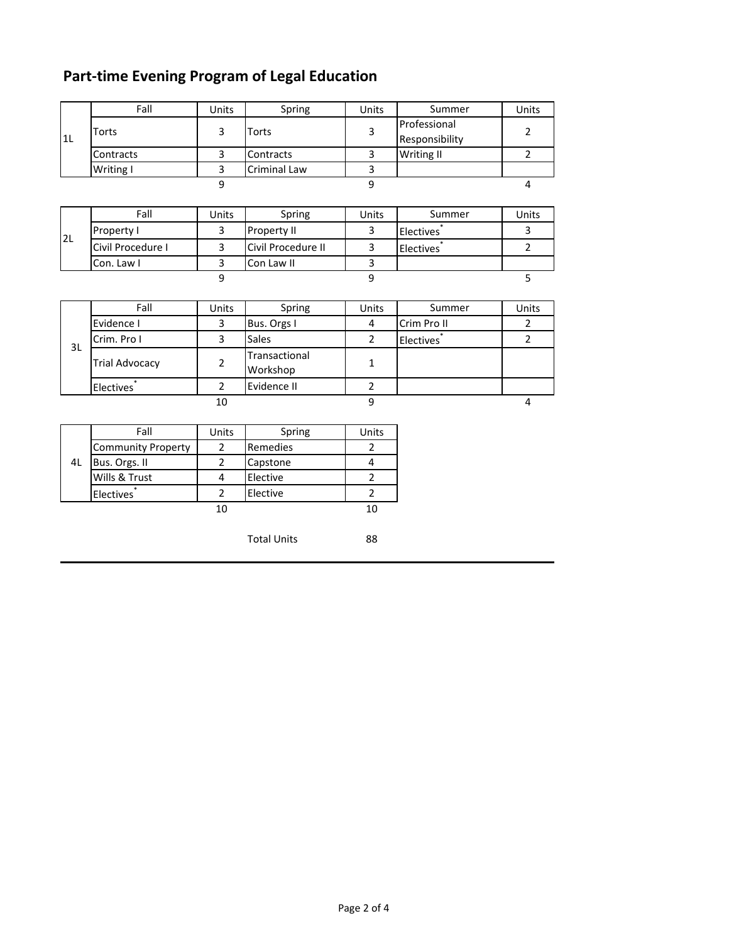# **Part-time Evening Program of Legal Education**

|    | Fall      | Units | Spring              | <b>Units</b> | Summer            | Units |
|----|-----------|-------|---------------------|--------------|-------------------|-------|
|    | Torts     |       | Torts               |              | Professional      |       |
| 1L |           |       |                     |              | Responsibility    |       |
|    | Contracts |       | Contracts           |              | <b>Writing II</b> |       |
|    | Writing I |       | <b>Criminal Law</b> |              |                   |       |
|    |           |       |                     |              |                   |       |

|                 | Fall              | Units | Spring             | Units | Summer           | Units |
|-----------------|-------------------|-------|--------------------|-------|------------------|-------|
| I <sub>2L</sub> | Property I        |       | <b>Property II</b> |       | <b>Electives</b> |       |
|                 | Civil Procedure I |       | Civil Procedure II |       | <b>Electives</b> |       |
|                 | Con. Law I        |       | Con Law II         |       |                  |       |
|                 |                   |       |                    |       |                  |       |

|    | Fall                  | Units | Spring                    | Units | Summer           | Units |
|----|-----------------------|-------|---------------------------|-------|------------------|-------|
|    | Evidence I            |       | Bus. Orgs I               | 4     | Crim Pro II      |       |
| 3L | Crim. Pro I           |       | <b>Sales</b>              |       | <b>Electives</b> |       |
|    | <b>Trial Advocacy</b> |       | Transactional<br>Workshop |       |                  |       |
|    | <b>Electives</b>      |       | Evidence II               |       |                  |       |
|    |                       | 10    |                           |       |                  |       |

|    | Fall                      | Units | Spring   | Units |
|----|---------------------------|-------|----------|-------|
|    | <b>Community Property</b> |       | Remedies |       |
| 41 | Bus. Orgs. II             |       | Capstone |       |
|    | Wills & Trust             |       | Elective |       |
|    | <b>Electives</b>          |       | Elective |       |
|    |                           |       |          | 10    |

Total Units 88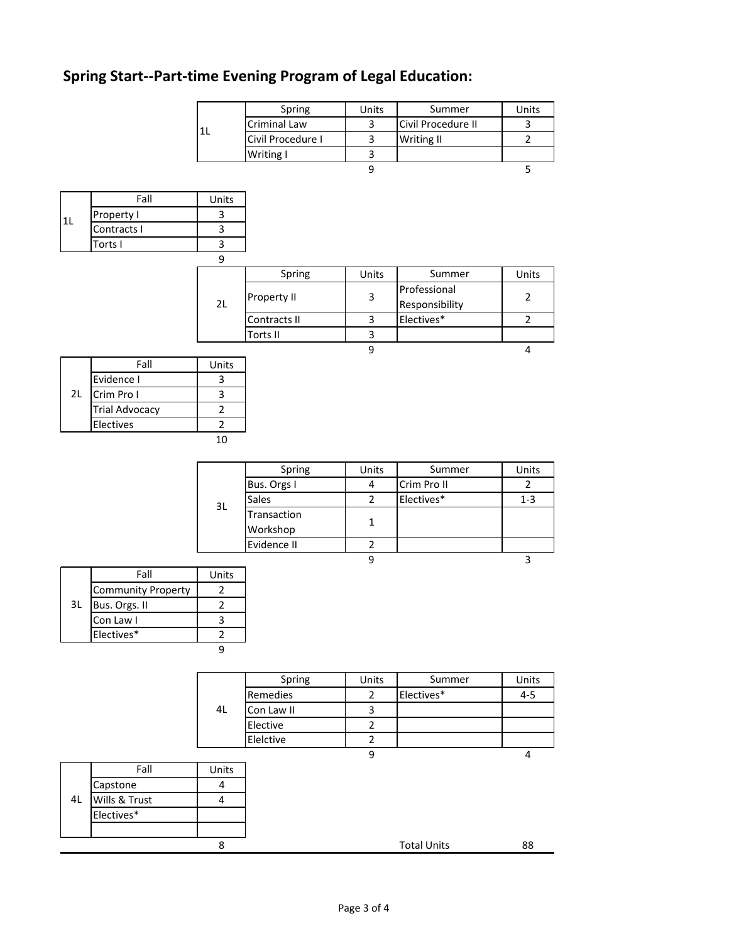# **Spring Start--Part-time Evening Program of Legal Education:**

 $1<sub>L</sub>$ 

|     |                           |                | Spring            | Units          | Summer             | Units          |
|-----|---------------------------|----------------|-------------------|----------------|--------------------|----------------|
|     |                           | 1L             | Criminal Law      | 3              | Civil Procedure II | 3              |
|     |                           |                | Civil Procedure I | 3              | Writing II         | $\overline{2}$ |
|     |                           |                | Writing I         | 3              |                    |                |
|     |                           |                |                   | $\overline{9}$ |                    | 5              |
|     |                           |                |                   |                |                    |                |
|     | Fall                      | Units          |                   |                |                    |                |
|     | Property I                | 3              |                   |                |                    |                |
| LL. | Contracts I               | 3              |                   |                |                    |                |
|     | Torts I                   | 3              |                   |                |                    |                |
|     |                           | 9              |                   |                |                    |                |
|     |                           |                | Spring            | Units          | Summer             | Units          |
|     |                           |                |                   |                | Professional       |                |
|     |                           | 2L             | Property II       | 3              | Responsibility     | $\overline{2}$ |
|     |                           |                | Contracts II      | 3              | Electives*         | $\overline{2}$ |
|     |                           |                | Torts II          | $\mathbf{3}$   |                    |                |
|     |                           |                |                   | $\overline{9}$ |                    | 4              |
|     | Fall                      | Units          |                   |                |                    |                |
|     | Evidence I                | 3              |                   |                |                    |                |
| 2L  | Crim Pro I                | 3              |                   |                |                    |                |
|     | <b>Trial Advocacy</b>     | $\overline{2}$ |                   |                |                    |                |
|     | Electives                 | $\overline{2}$ |                   |                |                    |                |
|     |                           | $10\,$         |                   |                |                    |                |
|     |                           |                |                   |                |                    |                |
|     |                           |                | Spring            | Units          | Summer             | Units          |
|     |                           |                | Bus. Orgs I       | 4              | Crim Pro II        | $\overline{2}$ |
|     |                           | 3L             | Sales             | $\overline{2}$ | Electives*         | $1 - 3$        |
|     |                           |                | Transaction       |                |                    |                |
|     |                           |                | Workshop          | $\mathbf{1}$   |                    |                |
|     |                           |                | Evidence II       | $\mathbf 2$    |                    |                |
|     |                           |                |                   | 9              |                    | $\overline{3}$ |
|     | Fall                      | Units          |                   |                |                    |                |
|     | <b>Community Property</b> | $\mathbf 2$    |                   |                |                    |                |
| 3L  | Bus. Orgs. II             | $\mathbf 2$    |                   |                |                    |                |
|     | Con Law I                 | $\mathsf{3}$   |                   |                |                    |                |
|     | Electives*                | $\overline{2}$ |                   |                |                    |                |
|     |                           | 9              |                   |                |                    |                |
|     |                           |                |                   |                |                    |                |
|     |                           |                | Spring            | Units          | Summer             | Units          |
|     |                           |                | Remedies          | $\overline{2}$ | Electives*         | $4 - 5$        |
|     |                           | 4L             | Con Law II        | 3              |                    |                |
|     |                           |                | Elective          | $\overline{2}$ |                    |                |
|     |                           |                | Elelctive         | $\overline{2}$ |                    |                |
|     |                           |                |                   | 9              |                    | 4              |
|     |                           |                |                   |                |                    |                |

|    | Fall          | Units |
|----|---------------|-------|
|    | Capstone      |       |
| 4L | Wills & Trust |       |
|    | Electives*    |       |
|    |               |       |
|    |               |       |